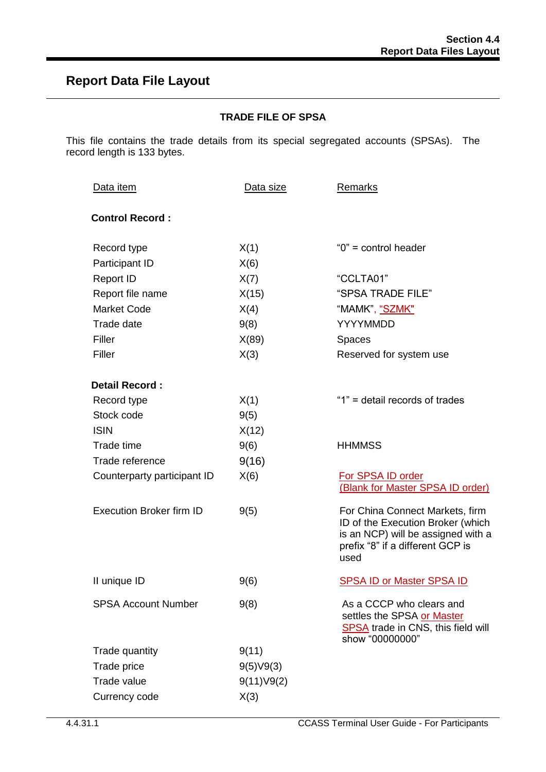## **Report Data File Layout**

## **TRADE FILE OF SPSA**

This file contains the trade details from its special segregated accounts (SPSAs). The record length is 133 bytes.

| Data item                       | Data size  | Remarks                                                                                                                                                |
|---------------------------------|------------|--------------------------------------------------------------------------------------------------------------------------------------------------------|
| <b>Control Record:</b>          |            |                                                                                                                                                        |
| Record type                     | X(1)       | " $0$ " = control header                                                                                                                               |
| Participant ID                  | X(6)       |                                                                                                                                                        |
| <b>Report ID</b>                | X(7)       | "CCLTA01"                                                                                                                                              |
| Report file name                | X(15)      | "SPSA TRADE FILE"                                                                                                                                      |
| <b>Market Code</b>              | X(4)       | "MAMK", "SZMK"                                                                                                                                         |
| Trade date                      | 9(8)       | <b>YYYYMMDD</b>                                                                                                                                        |
| Filler                          | X(89)      | <b>Spaces</b>                                                                                                                                          |
| Filler                          | X(3)       | Reserved for system use                                                                                                                                |
| Detail Record:                  |            |                                                                                                                                                        |
| Record type                     | X(1)       | "1" = detail records of trades                                                                                                                         |
| Stock code                      | 9(5)       |                                                                                                                                                        |
| <b>ISIN</b>                     | X(12)      |                                                                                                                                                        |
| Trade time                      | 9(6)       | <b>HHMMSS</b>                                                                                                                                          |
| Trade reference                 | 9(16)      |                                                                                                                                                        |
| Counterparty participant ID     | X(6)       | For SPSA ID order<br>(Blank for Master SPSA ID order)                                                                                                  |
| <b>Execution Broker firm ID</b> | 9(5)       | For China Connect Markets, firm<br>ID of the Execution Broker (which<br>is an NCP) will be assigned with a<br>prefix "8" if a different GCP is<br>used |
| II unique ID                    | 9(6)       | <b>SPSA ID or Master SPSA ID</b>                                                                                                                       |
| <b>SPSA Account Number</b>      | 9(8)       | As a CCCP who clears and<br>settles the SPSA or Master<br><b>SPSA</b> trade in CNS, this field will<br>show "00000000"                                 |
| Trade quantity                  | 9(11)      |                                                                                                                                                        |
| Trade price                     | 9(5)V9(3)  |                                                                                                                                                        |
| Trade value                     | 9(11)V9(2) |                                                                                                                                                        |
| Currency code                   | X(3)       |                                                                                                                                                        |
|                                 |            |                                                                                                                                                        |